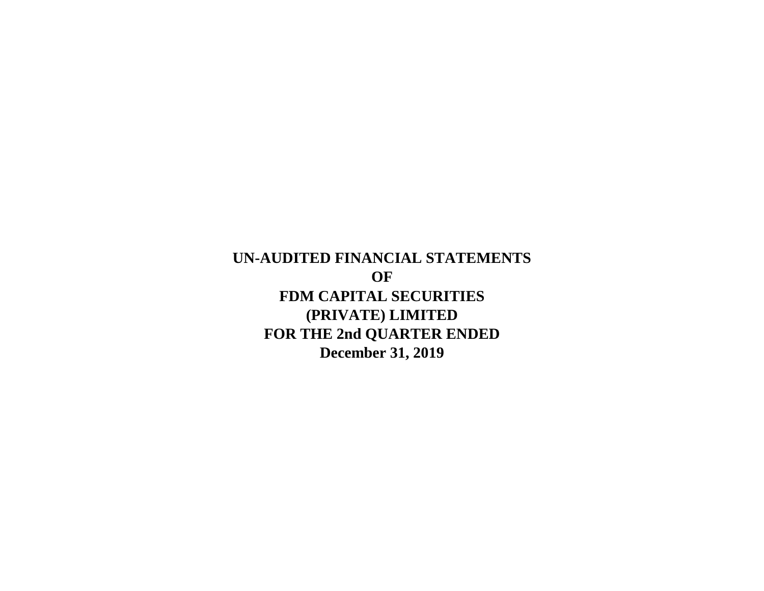**UN-AUDITED FINANCIAL STATEMENTS OF FDM CAPITAL SECURITIES (PRIVATE) LIMITED FOR THE 2nd QUARTER ENDED December 31, 2019**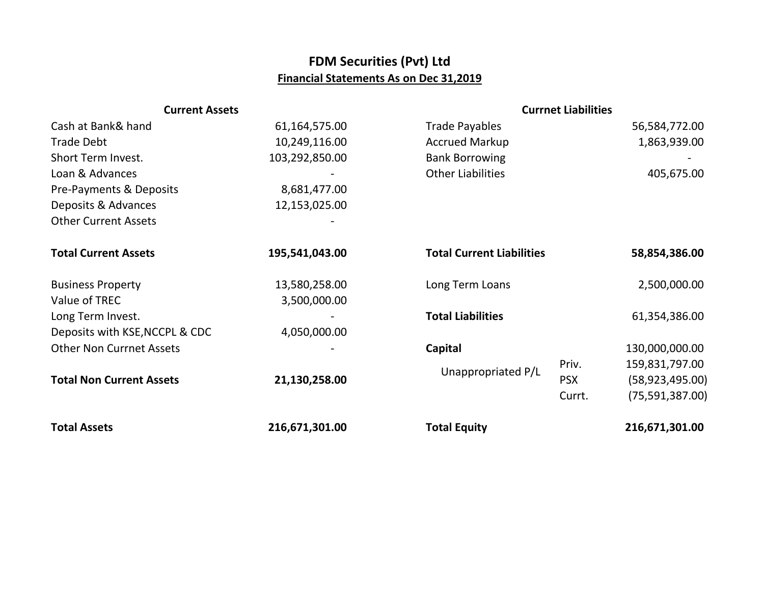## **FDM Securities (Pvt) Ltd Financial Statements As on Dec 31,2019**

| <b>Current Assets</b>           |                | <b>Currnet Liabilities</b>       |            |                   |
|---------------------------------|----------------|----------------------------------|------------|-------------------|
| Cash at Bank& hand              | 61,164,575.00  | <b>Trade Payables</b>            |            | 56,584,772.00     |
| <b>Trade Debt</b>               | 10,249,116.00  | <b>Accrued Markup</b>            |            | 1,863,939.00      |
| Short Term Invest.              | 103,292,850.00 | <b>Bank Borrowing</b>            |            |                   |
| Loan & Advances                 |                | <b>Other Liabilities</b>         |            | 405,675.00        |
| Pre-Payments & Deposits         | 8,681,477.00   |                                  |            |                   |
| Deposits & Advances             | 12,153,025.00  |                                  |            |                   |
| <b>Other Current Assets</b>     |                |                                  |            |                   |
| <b>Total Current Assets</b>     | 195,541,043.00 | <b>Total Current Liabilities</b> |            | 58,854,386.00     |
| <b>Business Property</b>        | 13,580,258.00  | Long Term Loans                  |            | 2,500,000.00      |
| Value of TREC                   | 3,500,000.00   |                                  |            |                   |
| Long Term Invest.               |                | <b>Total Liabilities</b>         |            | 61,354,386.00     |
| Deposits with KSE, NCCPL & CDC  | 4,050,000.00   |                                  |            |                   |
| <b>Other Non Currnet Assets</b> |                | Capital                          |            | 130,000,000.00    |
|                                 |                |                                  | Priv.      | 159,831,797.00    |
| <b>Total Non Current Assets</b> | 21,130,258.00  | Unappropriated P/L               | <b>PSX</b> | (58, 923, 495.00) |
|                                 |                |                                  | Currt.     | (75, 591, 387.00) |
| <b>Total Assets</b>             | 216,671,301.00 | <b>Total Equity</b>              |            | 216,671,301.00    |